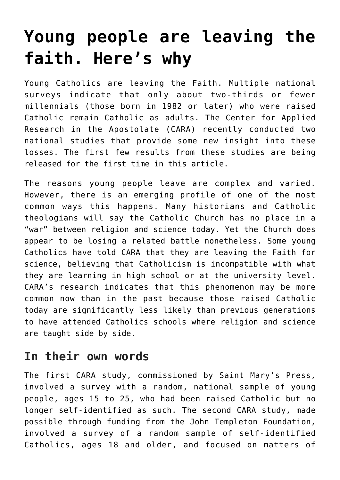# **[Young people are leaving the](https://www.osvnews.com/2016/08/27/young-people-are-leaving-the-faith-heres-why/) [faith. Here's why](https://www.osvnews.com/2016/08/27/young-people-are-leaving-the-faith-heres-why/)**

Young Catholics are leaving the Faith. Multiple national surveys indicate that only about two-thirds or fewer millennials (those born in 1982 or later) who were raised Catholic remain Catholic as adults. The Center for Applied Research in the Apostolate (CARA) recently conducted two national studies that provide some new insight into these losses. The first few results from these studies are being released for the first time in this article.

The reasons young people leave are complex and varied. However, there is an emerging profile of one of the most common ways this happens. Many historians and Catholic theologians will say the Catholic Church has no place in a "war" between religion and science today. Yet the Church does appear to be losing a related battle nonetheless. Some young Catholics have told CARA that they are leaving the Faith for science, believing that Catholicism is incompatible with what they are learning in high school or at the university level. CARA's research indicates that this phenomenon may be more common now than in the past because those raised Catholic today are significantly less likely than previous generations to have attended Catholics schools where religion and science are taught side by side.

### **In their own words**

The first CARA study, commissioned by Saint Mary's Press, involved a survey with a random, national sample of young people, ages 15 to 25, who had been raised Catholic but no longer self-identified as such. The second CARA study, made possible through funding from the John Templeton Foundation, involved a survey of a random sample of self-identified Catholics, ages 18 and older, and focused on matters of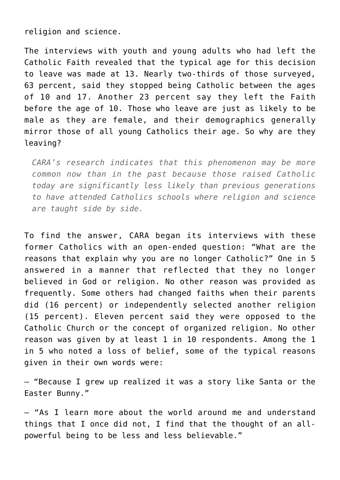religion and science.

The interviews with youth and young adults who had left the Catholic Faith revealed that the typical age for this decision to leave was made at 13. Nearly two-thirds of those surveyed, 63 percent, said they stopped being Catholic between the ages of 10 and 17. Another 23 percent say they left the Faith before the age of 10. Those who leave are just as likely to be male as they are female, and their demographics generally mirror those of all young Catholics their age. So why are they leaving?

*CARA's research indicates that this phenomenon may be more common now than in the past because those raised Catholic today are significantly less likely than previous generations to have attended Catholics schools where religion and science are taught side by side.*

To find the answer, CARA began its interviews with these former Catholics with an open-ended question: "What are the reasons that explain why you are no longer Catholic?" One in 5 answered in a manner that reflected that they no longer believed in God or religion. No other reason was provided as frequently. Some others had changed faiths when their parents did (16 percent) or independently selected another religion (15 percent). Eleven percent said they were opposed to the Catholic Church or the concept of organized religion. No other reason was given by at least 1 in 10 respondents. Among the 1 in 5 who noted a loss of belief, some of the typical reasons given in their own words were:

— "Because I grew up realized it was a story like Santa or the Easter Bunny."

— "As I learn more about the world around me and understand things that I once did not, I find that the thought of an allpowerful being to be less and less believable."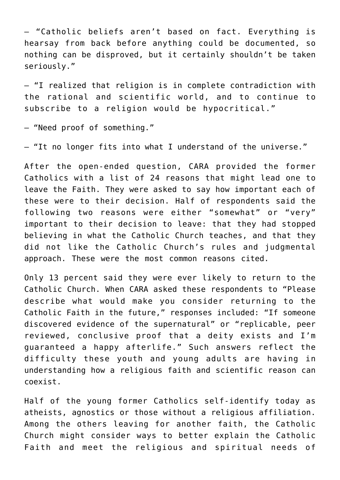— "Catholic beliefs aren't based on fact. Everything is hearsay from back before anything could be documented, so nothing can be disproved, but it certainly shouldn't be taken seriously."

— "I realized that religion is in complete contradiction with the rational and scientific world, and to continue to subscribe to a religion would be hypocritical."

— "Need proof of something."

— "It no longer fits into what I understand of the universe."

After the open-ended question, CARA provided the former Catholics with a list of 24 reasons that might lead one to leave the Faith. They were asked to say how important each of these were to their decision. Half of respondents said the following two reasons were either "somewhat" or "very" important to their decision to leave: that they had stopped believing in what the Catholic Church teaches, and that they did not like the Catholic Church's rules and judgmental approach. These were the most common reasons cited.

Only 13 percent said they were ever likely to return to the Catholic Church. When CARA asked these respondents to "Please describe what would make you consider returning to the Catholic Faith in the future," responses included: "If someone discovered evidence of the supernatural" or "replicable, peer reviewed, conclusive proof that a deity exists and I'm guaranteed a happy afterlife." Such answers reflect the difficulty these youth and young adults are having in understanding how a religious faith and scientific reason can coexist.

Half of the young former Catholics self-identify today as atheists, agnostics or those without a religious affiliation. Among the others leaving for another faith, the Catholic Church might consider ways to better explain the Catholic Faith and meet the religious and spiritual needs of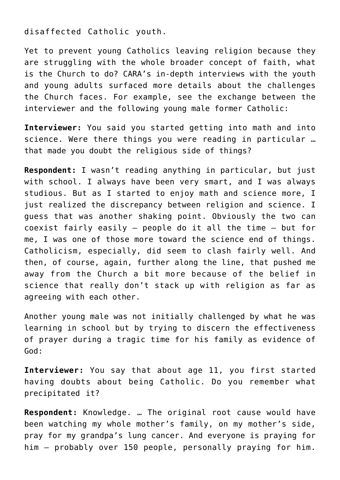disaffected Catholic youth.

Yet to prevent young Catholics leaving religion because they are struggling with the whole broader concept of faith, what is the Church to do? CARA's in-depth interviews with the youth and young adults surfaced more details about the challenges the Church faces. For example, see the exchange between the interviewer and the following young male former Catholic:

**Interviewer:** You said you started getting into math and into science. Were there things you were reading in particular … that made you doubt the religious side of things?

**Respondent:** I wasn't reading anything in particular, but just with school. I always have been very smart, and I was always studious. But as I started to enjoy math and science more, I just realized the discrepancy between religion and science. I guess that was another shaking point. Obviously the two can coexist fairly easily — people do it all the time — but for me, I was one of those more toward the science end of things. Catholicism, especially, did seem to clash fairly well. And then, of course, again, further along the line, that pushed me away from the Church a bit more because of the belief in science that really don't stack up with religion as far as agreeing with each other.

Another young male was not initially challenged by what he was learning in school but by trying to discern the effectiveness of prayer during a tragic time for his family as evidence of God:

**Interviewer:** You say that about age 11, you first started having doubts about being Catholic. Do you remember what precipitated it?

**Respondent:** Knowledge. … The original root cause would have been watching my whole mother's family, on my mother's side, pray for my grandpa's lung cancer. And everyone is praying for him — probably over 150 people, personally praying for him.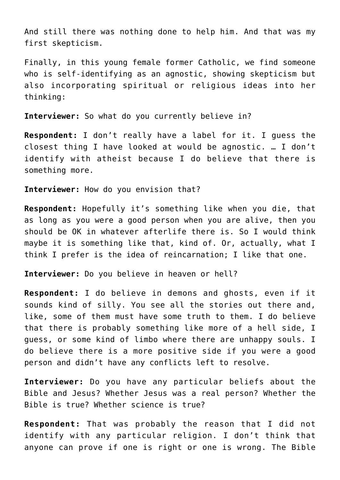And still there was nothing done to help him. And that was my first skepticism.

Finally, in this young female former Catholic, we find someone who is self-identifying as an agnostic, showing skepticism but also incorporating spiritual or religious ideas into her thinking:

**Interviewer:** So what do you currently believe in?

**Respondent:** I don't really have a label for it. I guess the closest thing I have looked at would be agnostic. … I don't identify with atheist because I do believe that there is something more.

**Interviewer:** How do you envision that?

**Respondent:** Hopefully it's something like when you die, that as long as you were a good person when you are alive, then you should be OK in whatever afterlife there is. So I would think maybe it is something like that, kind of. Or, actually, what I think I prefer is the idea of reincarnation; I like that one.

**Interviewer:** Do you believe in heaven or hell?

**Respondent:** I do believe in demons and ghosts, even if it sounds kind of silly. You see all the stories out there and, like, some of them must have some truth to them. I do believe that there is probably something like more of a hell side, I guess, or some kind of limbo where there are unhappy souls. I do believe there is a more positive side if you were a good person and didn't have any conflicts left to resolve.

**Interviewer:** Do you have any particular beliefs about the Bible and Jesus? Whether Jesus was a real person? Whether the Bible is true? Whether science is true?

**Respondent:** That was probably the reason that I did not identify with any particular religion. I don't think that anyone can prove if one is right or one is wrong. The Bible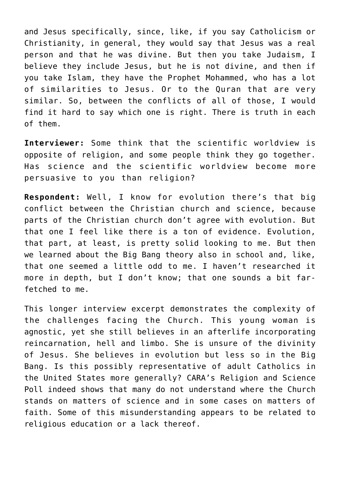and Jesus specifically, since, like, if you say Catholicism or Christianity, in general, they would say that Jesus was a real person and that he was divine. But then you take Judaism, I believe they include Jesus, but he is not divine, and then if you take Islam, they have the Prophet Mohammed, who has a lot of similarities to Jesus. Or to the Quran that are very similar. So, between the conflicts of all of those, I would find it hard to say which one is right. There is truth in each of them.

**Interviewer:** Some think that the scientific worldview is opposite of religion, and some people think they go together. Has science and the scientific worldview become more persuasive to you than religion?

**Respondent:** Well, I know for evolution there's that big conflict between the Christian church and science, because parts of the Christian church don't agree with evolution. But that one I feel like there is a ton of evidence. Evolution, that part, at least, is pretty solid looking to me. But then we learned about the Big Bang theory also in school and, like, that one seemed a little odd to me. I haven't researched it more in depth, but I don't know; that one sounds a bit farfetched to me.

This longer interview excerpt demonstrates the complexity of the challenges facing the Church. This young woman is agnostic, yet she still believes in an afterlife incorporating reincarnation, hell and limbo. She is unsure of the divinity of Jesus. She believes in evolution but less so in the Big Bang. Is this possibly representative of adult Catholics in the United States more generally? CARA's Religion and Science Poll indeed shows that many do not understand where the Church stands on matters of science and in some cases on matters of faith. Some of this misunderstanding appears to be related to religious education or a lack thereof.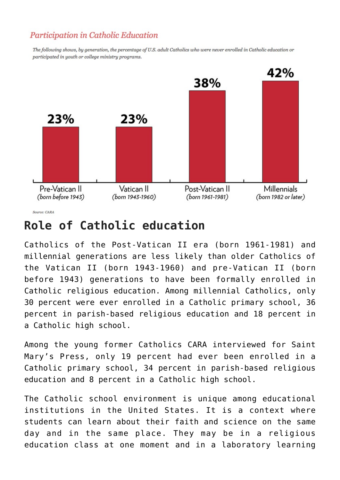### Participation in Catholic Education

The following shows, by generation, the percentage of U.S. adult Catholics who were never enrolled in Catholic education or participated in youth or college ministry programs.



### **Role of Catholic education**

Catholics of the Post-Vatican II era (born 1961-1981) and millennial generations are less likely than older Catholics of the Vatican II (born 1943-1960) and pre-Vatican II (born before 1943) generations to have been formally enrolled in Catholic religious education. Among millennial Catholics, only 30 percent were ever enrolled in a Catholic primary school, 36 percent in parish-based religious education and 18 percent in a Catholic high school.

Among the young former Catholics CARA interviewed for Saint Mary's Press, only 19 percent had ever been enrolled in a Catholic primary school, 34 percent in parish-based religious education and 8 percent in a Catholic high school.

The Catholic school environment is unique among educational institutions in the United States. It is a context where students can learn about their faith and science on the same day and in the same place. They may be in a religious education class at one moment and in a laboratory learning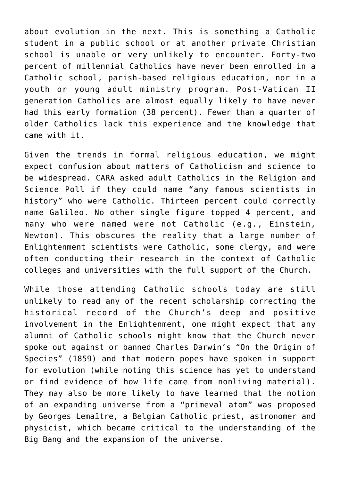about evolution in the next. This is something a Catholic student in a public school or at another private Christian school is unable or very unlikely to encounter. Forty-two percent of millennial Catholics have never been enrolled in a Catholic school, parish-based religious education, nor in a youth or young adult ministry program. Post-Vatican II generation Catholics are almost equally likely to have never had this early formation (38 percent). Fewer than a quarter of older Catholics lack this experience and the knowledge that came with it.

Given the trends in formal religious education, we might expect confusion about matters of Catholicism and science to be widespread. CARA asked adult Catholics in the Religion and Science Poll if they could name "any famous scientists in history" who were Catholic. Thirteen percent could correctly name Galileo. No other single figure topped 4 percent, and many who were named were not Catholic (e.g., Einstein, Newton). This obscures the reality that a large number of Enlightenment scientists were Catholic, some clergy, and were often conducting their research in the context of Catholic colleges and universities with the full support of the Church.

While those attending Catholic schools today are still unlikely to read any of the recent scholarship correcting the historical record of the Church's deep and positive involvement in the Enlightenment, one might expect that any alumni of Catholic schools might know that the Church never spoke out against or banned Charles Darwin's "On the Origin of Species" (1859) and that modern popes have spoken in support for evolution (while noting this science has yet to understand or find evidence of how life came from nonliving material). They may also be more likely to have learned that the notion of an expanding universe from a "primeval atom" was proposed by Georges Lemaître, a Belgian Catholic priest, astronomer and physicist, which became critical to the understanding of the Big Bang and the expansion of the universe.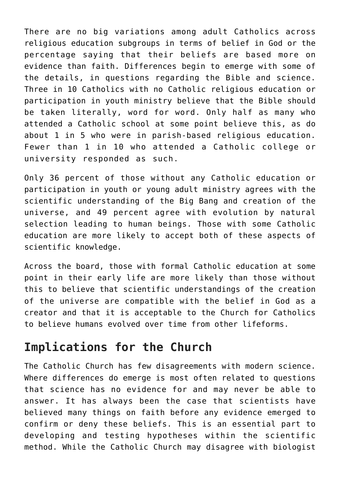There are no big variations among adult Catholics across religious education subgroups in terms of belief in God or the percentage saying that their beliefs are based more on evidence than faith. Differences begin to emerge with some of the details, in questions regarding the Bible and science. Three in 10 Catholics with no Catholic religious education or participation in youth ministry believe that the Bible should be taken literally, word for word. Only half as many who attended a Catholic school at some point believe this, as do about 1 in 5 who were in parish-based religious education. Fewer than 1 in 10 who attended a Catholic college or university responded as such.

Only 36 percent of those without any Catholic education or participation in youth or young adult ministry agrees with the scientific understanding of the Big Bang and creation of the universe, and 49 percent agree with evolution by natural selection leading to human beings. Those with some Catholic education are more likely to accept both of these aspects of scientific knowledge.

Across the board, those with formal Catholic education at some point in their early life are more likely than those without this to believe that scientific understandings of the creation of the universe are compatible with the belief in God as a creator and that it is acceptable to the Church for Catholics to believe humans evolved over time from other lifeforms.

## **Implications for the Church**

The Catholic Church has few disagreements with modern science. Where differences do emerge is most often related to questions that science has no evidence for and may never be able to answer. It has always been the case that scientists have believed many things on faith before any evidence emerged to confirm or deny these beliefs. This is an essential part to developing and testing hypotheses within the scientific method. While the Catholic Church may disagree with biologist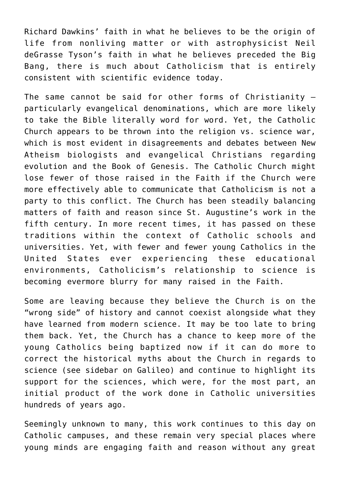Richard Dawkins' faith in what he believes to be the origin of life from nonliving matter or with astrophysicist Neil deGrasse Tyson's faith in what he believes preceded the Big Bang, there is much about Catholicism that is entirely consistent with scientific evidence today.

The same cannot be said for other forms of Christianity particularly evangelical denominations, which are more likely to take the Bible literally word for word. Yet, the Catholic Church appears to be thrown into the religion vs. science war, which is most evident in disagreements and debates between New Atheism biologists and evangelical Christians regarding evolution and the Book of Genesis. The Catholic Church might lose fewer of those raised in the Faith if the Church were more effectively able to communicate that Catholicism is not a party to this conflict. The Church has been steadily balancing matters of faith and reason since St. Augustine's work in the fifth century. In more recent times, it has passed on these traditions within the context of Catholic schools and universities. Yet, with fewer and fewer young Catholics in the United States ever experiencing these educational environments, Catholicism's relationship to science is becoming evermore blurry for many raised in the Faith.

Some are leaving because they believe the Church is on the "wrong side" of history and cannot coexist alongside what they have learned from modern science. It may be too late to bring them back. Yet, the Church has a chance to keep more of the young Catholics being baptized now if it can do more to correct the historical myths about the Church in regards to science (see sidebar on Galileo) and continue to highlight its support for the sciences, which were, for the most part, an initial product of the work done in Catholic universities hundreds of years ago.

Seemingly unknown to many, this work continues to this day on Catholic campuses, and these remain very special places where young minds are engaging faith and reason without any great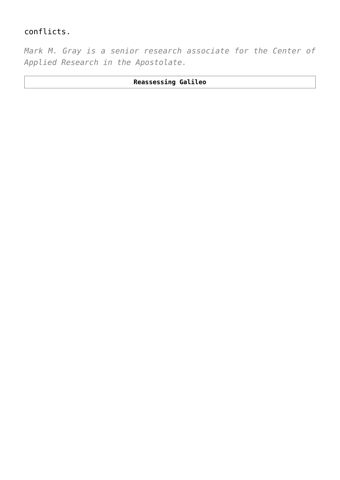### conflicts.

*Mark M. Gray is a senior research associate for the Center of Applied Research in the Apostolate.*

#### **Reassessing Galileo**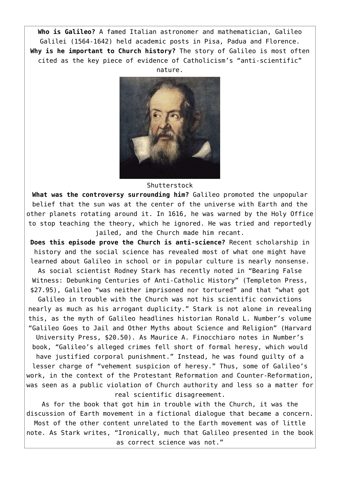**Who is Galileo?** A famed Italian astronomer and mathematician, Galileo Galilei (1564-1642) held academic posts in Pisa, Padua and Florence. **Why is he important to Church history?** The story of Galileo is most often cited as the key piece of evidence of Catholicism's "anti-scientific" nature.



Shutterstock

**What was the controversy surrounding him?** Galileo promoted the unpopular belief that the sun was at the center of the universe with Earth and the other planets rotating around it. In 1616, he was warned by the Holy Office to stop teaching the theory, which he ignored. He was tried and reportedly jailed, and the Church made him recant.

**Does this episode prove the Church is anti-science?** Recent scholarship in history and the social science has revealed most of what one might have learned about Galileo in school or in popular culture is nearly nonsense. As social scientist Rodney Stark has recently noted in "Bearing False Witness: Debunking Centuries of Anti-Catholic History" (Templeton Press, \$27.95), Galileo "was neither imprisoned nor tortured" and that "what got Galileo in trouble with the Church was not his scientific convictions nearly as much as his arrogant duplicity." Stark is not alone in revealing this, as the myth of Galileo headlines historian Ronald L. Number's volume "Galileo Goes to Jail and Other Myths about Science and Religion" (Harvard University Press, \$20.50). As Maurice A. Finocchiaro notes in Number's book, "Galileo's alleged crimes fell short of formal heresy, which would have justified corporal punishment." Instead, he was found guilty of a lesser charge of "vehement suspicion of heresy." Thus, some of Galileo's

work, in the context of the Protestant Reformation and Counter-Reformation, was seen as a public violation of Church authority and less so a matter for real scientific disagreement.

As for the book that got him in trouble with the Church, it was the discussion of Earth movement in a fictional dialogue that became a concern. Most of the other content unrelated to the Earth movement was of little note. As Stark writes, "Ironically, much that Galileo presented in the book as correct science was not."